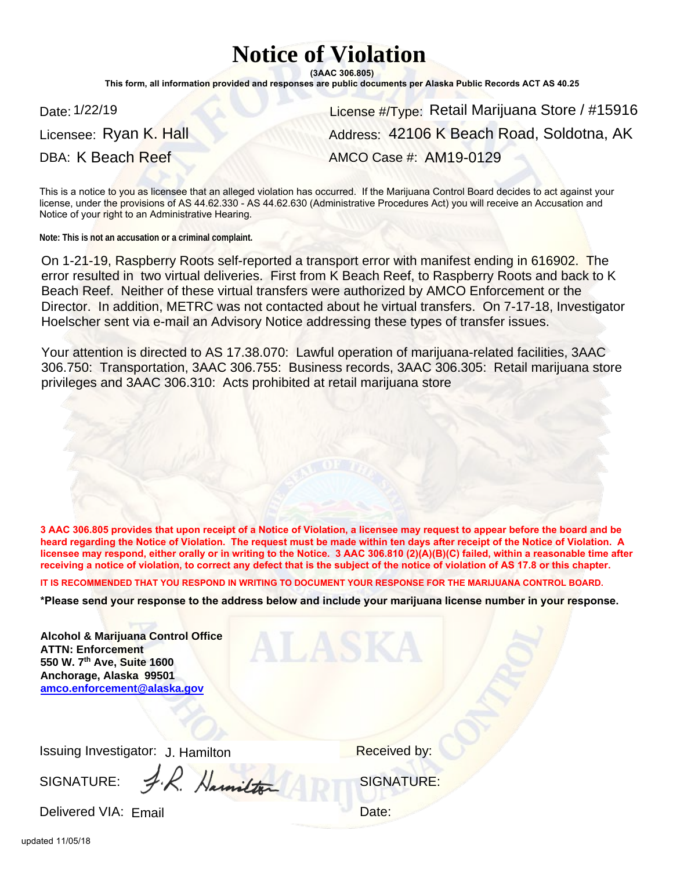## **Notice of Violation**

**(3AAC 306.805)**

**This form, all information provided and responses are public documents per Alaska Public Records ACT AS 40.25**

Licensee: Ryan K. Hall

Date: 1/22/19 **Date: 1/22/19** Retail Marijuana Store / #15916 DBA: K Beach Reef AMCO Case #: AM19-0129 Address: 42106 K Beach Road, Soldotna, AK

This is a notice to you as licensee that an alleged violation has occurred. If the Marijuana Control Board decides to act against your license, under the provisions of AS 44.62.330 - AS 44.62.630 (Administrative Procedures Act) you will receive an Accusation and Notice of your right to an Administrative Hearing.

**Note: This is not an accusation or a criminal complaint.**

On 1-21-19, Raspberry Roots self-reported a transport error with manifest ending in 616902. The error resulted in two virtual deliveries. First from K Beach Reef, to Raspberry Roots and back to K Beach Reef. Neither of these virtual transfers were authorized by AMCO Enforcement or the Director. In addition, METRC was not contacted about he virtual transfers. On 7-17-18, Investigator Hoelscher sent via e-mail an Advisory Notice addressing these types of transfer issues.

Your attention is directed to AS 17.38.070: Lawful operation of marijuana-related facilities, 3AAC 306.750: Transportation, 3AAC 306.755: Business records, 3AAC 306.305: Retail marijuana store privileges and 3AAC 306.310: Acts prohibited at retail marijuana store

**3 AAC 306.805 provides that upon receipt of a Notice of Violation, a licensee may request to appear before the board and be heard regarding the Notice of Violation. The request must be made within ten days after receipt of the Notice of Violation. A licensee may respond, either orally or in writing to the Notice. 3 AAC 306.810 (2)(A)(B)(C) failed, within a reasonable time after receiving a notice of violation, to correct any defect that is the subject of the notice of violation of AS 17.8 or this chapter.** 

**IT IS RECOMMENDED THAT YOU RESPOND IN WRITING TO DOCUMENT YOUR RESPONSE FOR THE MARIJUANA CONTROL BOARD.**

**\*Please send your response to the address below and include your marijuana license number in your response.**

ALASKA

**Alcohol & Marijuana Control Office ATTN: Enforcement 550 W. 7th Ave, Suite 1600 Anchorage, Alaska 99501 amco.enforcement@alaska.gov**

Issuing Investigator: J. Hamilton Markovich Meceived by:

SIGNATURE: S.R. Hamilton & SIGNATURE:

Delivered VIA: Email et al. et al. et al. et al. et al. et al. et al. et al. et al. et al. et al. et al. et al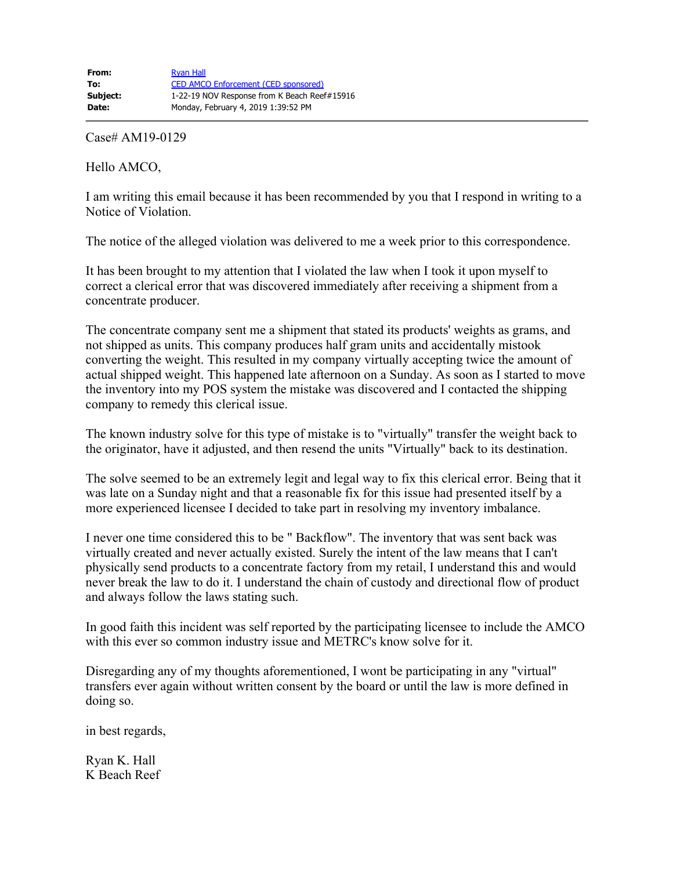Case# AM19-0129

Hello AMCO,

I am writing this email because it has been recommended by you that I respond in writing to a Notice of Violation.

The notice of the alleged violation was delivered to me a week prior to this correspondence.

It has been brought to my attention that I violated the law when I took it upon myself to correct a clerical error that was discovered immediately after receiving a shipment from a concentrate producer.

The concentrate company sent me a shipment that stated its products' weights as grams, and not shipped as units. This company produces half gram units and accidentally mistook converting the weight. This resulted in my company virtually accepting twice the amount of actual shipped weight. This happened late afternoon on a Sunday. As soon as I started to move the inventory into my POS system the mistake was discovered and I contacted the shipping company to remedy this clerical issue.

The known industry solve for this type of mistake is to "virtually" transfer the weight back to the originator, have it adjusted, and then resend the units "Virtually" back to its destination.

The solve seemed to be an extremely legit and legal way to fix this clerical error. Being that it was late on a Sunday night and that a reasonable fix for this issue had presented itself by a more experienced licensee I decided to take part in resolving my inventory imbalance.

I never one time considered this to be " Backflow". The inventory that was sent back was virtually created and never actually existed. Surely the intent of the law means that I can't physically send products to a concentrate factory from my retail, I understand this and would never break the law to do it. I understand the chain of custody and directional flow of product and always follow the laws stating such.

In good faith this incident was self reported by the participating licensee to include the AMCO with this ever so common industry issue and METRC's know solve for it.

Disregarding any of my thoughts aforementioned, I wont be participating in any "virtual" transfers ever again without written consent by the board or until the law is more defined in doing so.

in best regards,

Ryan K. Hall K Beach Reef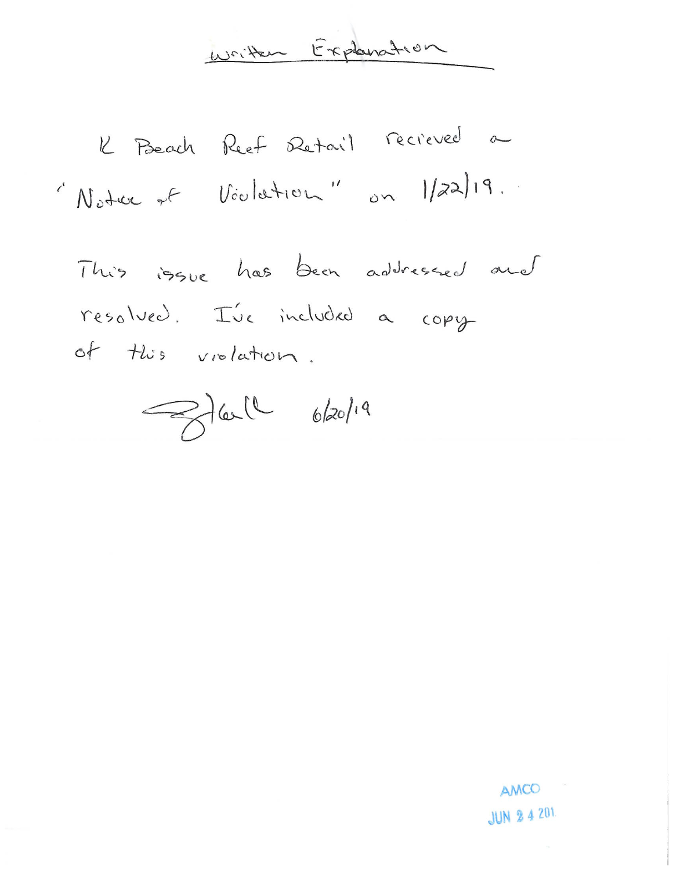written Explanation

K Beach Reef Retail recreved a "Notre et Voulation" on 1/22/19.

This issue has been addressed and resolved. I've included a copy of this violation.

Jail 6/20/19

AMCO **JUN 2 4 201**